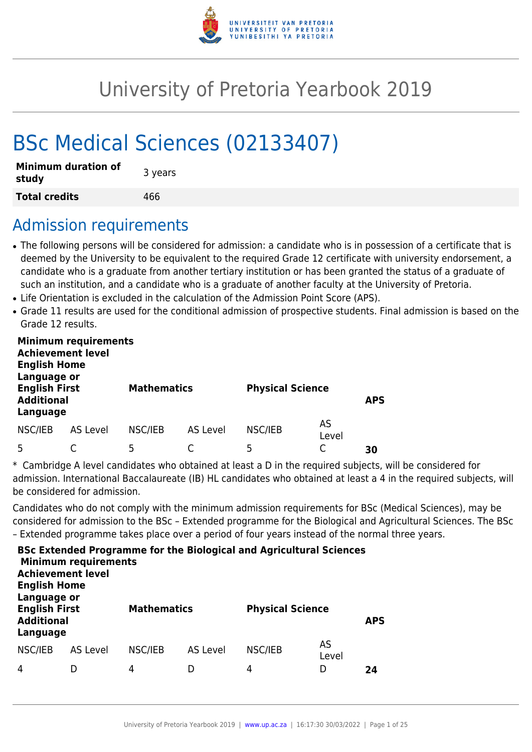

# University of Pretoria Yearbook 2019

# BSc Medical Sciences (02133407)

| <b>Minimum duration of</b><br>study | 3 years |
|-------------------------------------|---------|
| <b>Total credits</b>                | 466     |

## Admission requirements

- The following persons will be considered for admission: a candidate who is in possession of a certificate that is deemed by the University to be equivalent to the required Grade 12 certificate with university endorsement, a candidate who is a graduate from another tertiary institution or has been granted the status of a graduate of such an institution, and a candidate who is a graduate of another faculty at the University of Pretoria.
- Life Orientation is excluded in the calculation of the Admission Point Score (APS).
- Grade 11 results are used for the conditional admission of prospective students. Final admission is based on the Grade 12 results.

| <b>Minimum requirements</b><br><b>Achievement level</b><br><b>English Home</b><br>Language or<br><b>English First</b> |          | <b>Mathematics</b><br><b>Physical Science</b> |          |         |             |            |
|-----------------------------------------------------------------------------------------------------------------------|----------|-----------------------------------------------|----------|---------|-------------|------------|
| <b>Additional</b><br>Language                                                                                         |          |                                               |          |         |             | <b>APS</b> |
| NSC/IEB                                                                                                               | AS Level | NSC/IEB                                       | AS Level | NSC/IEB | AS<br>Level |            |
|                                                                                                                       |          | -5                                            |          | 5       |             | 30         |

\* Cambridge A level candidates who obtained at least a D in the required subjects, will be considered for admission. International Baccalaureate (IB) HL candidates who obtained at least a 4 in the required subjects, will be considered for admission.

Candidates who do not comply with the minimum admission requirements for BSc (Medical Sciences), may be considered for admission to the BSc – Extended programme for the Biological and Agricultural Sciences. The BSc – Extended programme takes place over a period of four years instead of the normal three years.

| <b>Achievement level</b><br><b>English Home</b>                      | <b>Minimum requirements</b> |                    |          | <b>BSc Extended Programme for the Biological and Agricultural Sciences</b> |             |            |
|----------------------------------------------------------------------|-----------------------------|--------------------|----------|----------------------------------------------------------------------------|-------------|------------|
| Language or<br><b>English First</b><br><b>Additional</b><br>Language |                             | <b>Mathematics</b> |          | <b>Physical Science</b>                                                    |             | <b>APS</b> |
| NSC/IEB                                                              | AS Level                    | NSC/IEB            | AS Level | NSC/IEB                                                                    | AS<br>Level |            |
| 4                                                                    |                             | 4                  |          | 4                                                                          | D           | 24         |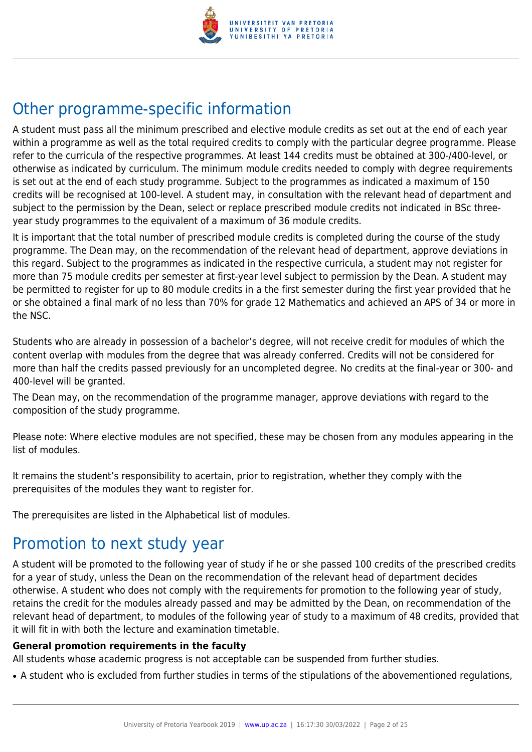

## Other programme-specific information

A student must pass all the minimum prescribed and elective module credits as set out at the end of each year within a programme as well as the total required credits to comply with the particular degree programme. Please refer to the curricula of the respective programmes. At least 144 credits must be obtained at 300-/400-level, or otherwise as indicated by curriculum. The minimum module credits needed to comply with degree requirements is set out at the end of each study programme. Subject to the programmes as indicated a maximum of 150 credits will be recognised at 100-level. A student may, in consultation with the relevant head of department and subject to the permission by the Dean, select or replace prescribed module credits not indicated in BSc threeyear study programmes to the equivalent of a maximum of 36 module credits.

It is important that the total number of prescribed module credits is completed during the course of the study programme. The Dean may, on the recommendation of the relevant head of department, approve deviations in this regard. Subject to the programmes as indicated in the respective curricula, a student may not register for more than 75 module credits per semester at first-year level subject to permission by the Dean. A student may be permitted to register for up to 80 module credits in a the first semester during the first year provided that he or she obtained a final mark of no less than 70% for grade 12 Mathematics and achieved an APS of 34 or more in the NSC.

Students who are already in possession of a bachelor's degree, will not receive credit for modules of which the content overlap with modules from the degree that was already conferred. Credits will not be considered for more than half the credits passed previously for an uncompleted degree. No credits at the final-year or 300- and 400-level will be granted.

The Dean may, on the recommendation of the programme manager, approve deviations with regard to the composition of the study programme.

Please note: Where elective modules are not specified, these may be chosen from any modules appearing in the list of modules.

It remains the student's responsibility to acertain, prior to registration, whether they comply with the prerequisites of the modules they want to register for.

The prerequisites are listed in the Alphabetical list of modules.

## Promotion to next study year

A student will be promoted to the following year of study if he or she passed 100 credits of the prescribed credits for a year of study, unless the Dean on the recommendation of the relevant head of department decides otherwise. A student who does not comply with the requirements for promotion to the following year of study, retains the credit for the modules already passed and may be admitted by the Dean, on recommendation of the relevant head of department, to modules of the following year of study to a maximum of 48 credits, provided that it will fit in with both the lecture and examination timetable.

#### **General promotion requirements in the faculty**

All students whose academic progress is not acceptable can be suspended from further studies.

• A student who is excluded from further studies in terms of the stipulations of the abovementioned regulations,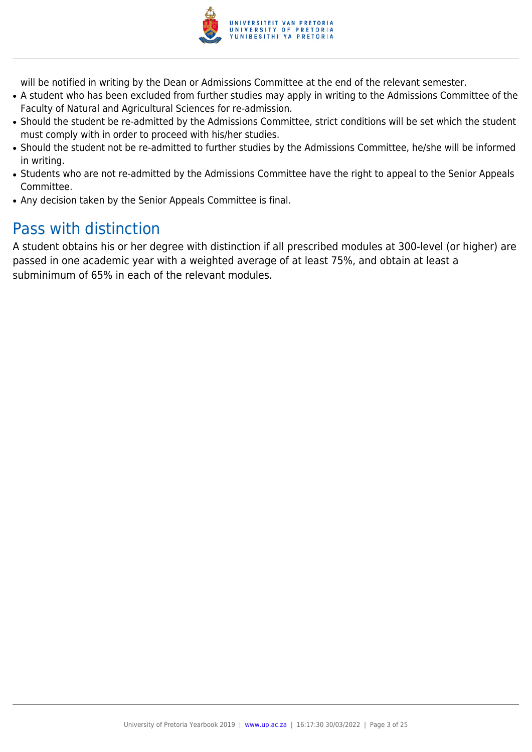

will be notified in writing by the Dean or Admissions Committee at the end of the relevant semester.

- A student who has been excluded from further studies may apply in writing to the Admissions Committee of the Faculty of Natural and Agricultural Sciences for re-admission.
- Should the student be re-admitted by the Admissions Committee, strict conditions will be set which the student must comply with in order to proceed with his/her studies.
- Should the student not be re-admitted to further studies by the Admissions Committee, he/she will be informed in writing.
- Students who are not re-admitted by the Admissions Committee have the right to appeal to the Senior Appeals Committee.
- Any decision taken by the Senior Appeals Committee is final.

## Pass with distinction

A student obtains his or her degree with distinction if all prescribed modules at 300-level (or higher) are passed in one academic year with a weighted average of at least 75%, and obtain at least a subminimum of 65% in each of the relevant modules.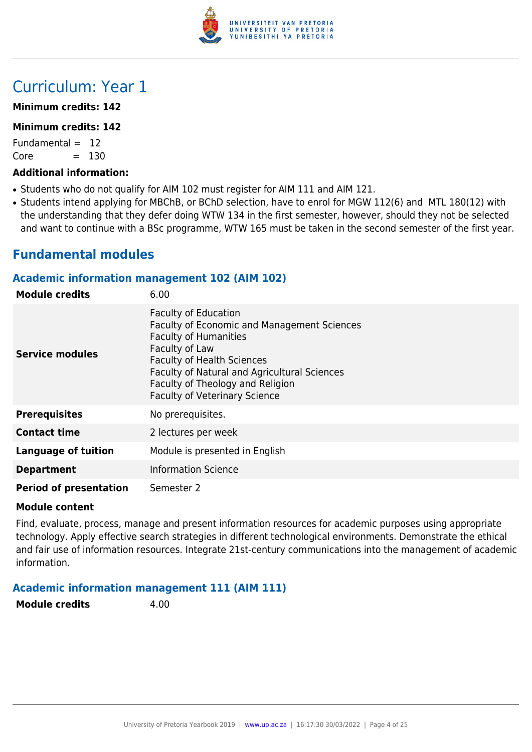

## Curriculum: Year 1

#### **Minimum credits: 142**

#### **Minimum credits: 142**

Fundamental  $= 12$  $Core = 130$ 

#### **Additional information:**

- Students who do not qualify for AIM 102 must register for AIM 111 and AIM 121.
- Students intend applying for MBChB, or BChD selection, have to enrol for MGW 112(6) and MTL 180(12) with the understanding that they defer doing WTW 134 in the first semester, however, should they not be selected and want to continue with a BSc programme, WTW 165 must be taken in the second semester of the first year.

## **Fundamental modules**

#### **Academic information management 102 (AIM 102)**

| <b>Module credits</b>         | 6.00                                                                                                                                                                                                                                                                                                 |
|-------------------------------|------------------------------------------------------------------------------------------------------------------------------------------------------------------------------------------------------------------------------------------------------------------------------------------------------|
| Service modules               | <b>Faculty of Education</b><br><b>Faculty of Economic and Management Sciences</b><br><b>Faculty of Humanities</b><br>Faculty of Law<br><b>Faculty of Health Sciences</b><br>Faculty of Natural and Agricultural Sciences<br>Faculty of Theology and Religion<br><b>Faculty of Veterinary Science</b> |
| <b>Prerequisites</b>          | No prerequisites.                                                                                                                                                                                                                                                                                    |
| <b>Contact time</b>           | 2 lectures per week                                                                                                                                                                                                                                                                                  |
| <b>Language of tuition</b>    | Module is presented in English                                                                                                                                                                                                                                                                       |
| <b>Department</b>             | <b>Information Science</b>                                                                                                                                                                                                                                                                           |
| <b>Period of presentation</b> | Semester 2                                                                                                                                                                                                                                                                                           |

#### **Module content**

Find, evaluate, process, manage and present information resources for academic purposes using appropriate technology. Apply effective search strategies in different technological environments. Demonstrate the ethical and fair use of information resources. Integrate 21st-century communications into the management of academic information.

#### **Academic information management 111 (AIM 111)**

**Module credits** 4.00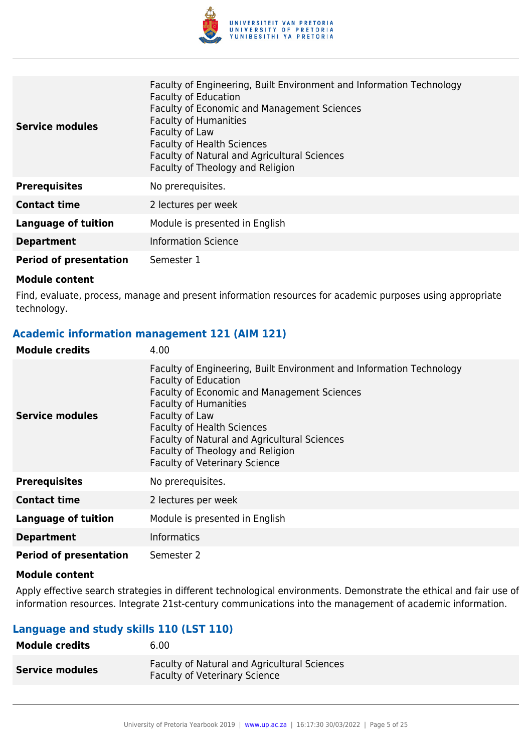

| <b>Service modules</b>        | Faculty of Engineering, Built Environment and Information Technology<br><b>Faculty of Education</b><br><b>Faculty of Economic and Management Sciences</b><br><b>Faculty of Humanities</b><br>Faculty of Law<br><b>Faculty of Health Sciences</b><br><b>Faculty of Natural and Agricultural Sciences</b><br>Faculty of Theology and Religion |
|-------------------------------|---------------------------------------------------------------------------------------------------------------------------------------------------------------------------------------------------------------------------------------------------------------------------------------------------------------------------------------------|
| <b>Prerequisites</b>          | No prerequisites.                                                                                                                                                                                                                                                                                                                           |
| <b>Contact time</b>           | 2 lectures per week                                                                                                                                                                                                                                                                                                                         |
| <b>Language of tuition</b>    | Module is presented in English                                                                                                                                                                                                                                                                                                              |
| <b>Department</b>             | <b>Information Science</b>                                                                                                                                                                                                                                                                                                                  |
| <b>Period of presentation</b> | Semester 1                                                                                                                                                                                                                                                                                                                                  |

Find, evaluate, process, manage and present information resources for academic purposes using appropriate technology.

#### **Academic information management 121 (AIM 121)**

| <b>Module credits</b>         | 4.00                                                                                                                                                                                                                                                                                                                                                                  |
|-------------------------------|-----------------------------------------------------------------------------------------------------------------------------------------------------------------------------------------------------------------------------------------------------------------------------------------------------------------------------------------------------------------------|
| Service modules               | Faculty of Engineering, Built Environment and Information Technology<br><b>Faculty of Education</b><br>Faculty of Economic and Management Sciences<br><b>Faculty of Humanities</b><br>Faculty of Law<br><b>Faculty of Health Sciences</b><br>Faculty of Natural and Agricultural Sciences<br>Faculty of Theology and Religion<br><b>Faculty of Veterinary Science</b> |
| <b>Prerequisites</b>          | No prerequisites.                                                                                                                                                                                                                                                                                                                                                     |
| <b>Contact time</b>           | 2 lectures per week                                                                                                                                                                                                                                                                                                                                                   |
| Language of tuition           | Module is presented in English                                                                                                                                                                                                                                                                                                                                        |
| <b>Department</b>             | <b>Informatics</b>                                                                                                                                                                                                                                                                                                                                                    |
| <b>Period of presentation</b> | Semester 2                                                                                                                                                                                                                                                                                                                                                            |

#### **Module content**

Apply effective search strategies in different technological environments. Demonstrate the ethical and fair use of information resources. Integrate 21st-century communications into the management of academic information.

#### **Language and study skills 110 (LST 110)**

| Module credits         | 6.00                                                                                        |
|------------------------|---------------------------------------------------------------------------------------------|
| <b>Service modules</b> | <b>Faculty of Natural and Agricultural Sciences</b><br><b>Faculty of Veterinary Science</b> |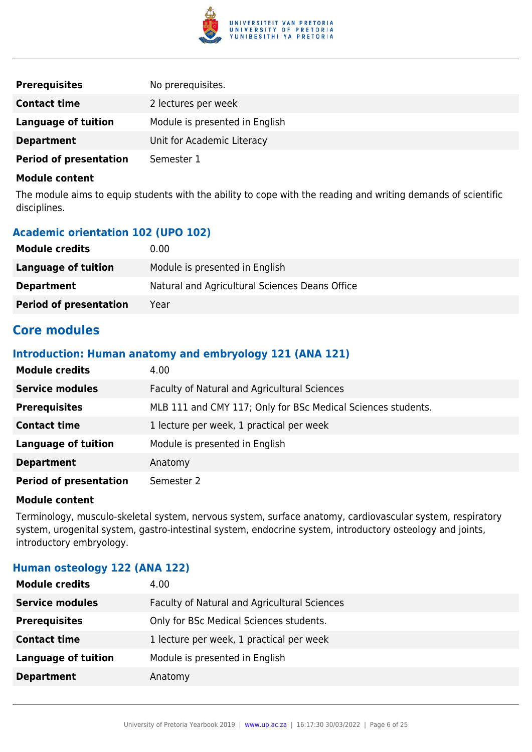

| <b>Prerequisites</b>          | No prerequisites.              |
|-------------------------------|--------------------------------|
| <b>Contact time</b>           | 2 lectures per week            |
| Language of tuition           | Module is presented in English |
| <b>Department</b>             | Unit for Academic Literacy     |
| <b>Period of presentation</b> | Semester 1                     |

The module aims to equip students with the ability to cope with the reading and writing demands of scientific disciplines.

### **Academic orientation 102 (UPO 102)**

| <b>Module credits</b>         | 0.00                                           |
|-------------------------------|------------------------------------------------|
| Language of tuition           | Module is presented in English                 |
| <b>Department</b>             | Natural and Agricultural Sciences Deans Office |
| <b>Period of presentation</b> | Year                                           |

## **Core modules**

#### **Introduction: Human anatomy and embryology 121 (ANA 121)**

| <b>Module credits</b>         | 4.00                                                         |
|-------------------------------|--------------------------------------------------------------|
| <b>Service modules</b>        | Faculty of Natural and Agricultural Sciences                 |
| <b>Prerequisites</b>          | MLB 111 and CMY 117; Only for BSc Medical Sciences students. |
| <b>Contact time</b>           | 1 lecture per week, 1 practical per week                     |
| <b>Language of tuition</b>    | Module is presented in English                               |
| <b>Department</b>             | Anatomy                                                      |
| <b>Period of presentation</b> | Semester 2                                                   |

#### **Module content**

Terminology, musculo-skeletal system, nervous system, surface anatomy, cardiovascular system, respiratory system, urogenital system, gastro-intestinal system, endocrine system, introductory osteology and joints, introductory embryology.

## **Human osteology 122 (ANA 122)**

| <b>Service modules</b><br>Faculty of Natural and Agricultural Sciences<br><b>Prerequisites</b><br>Only for BSc Medical Sciences students. |
|-------------------------------------------------------------------------------------------------------------------------------------------|
|                                                                                                                                           |
|                                                                                                                                           |
| 1 lecture per week, 1 practical per week<br><b>Contact time</b>                                                                           |
| <b>Language of tuition</b><br>Module is presented in English                                                                              |
| <b>Department</b><br>Anatomy                                                                                                              |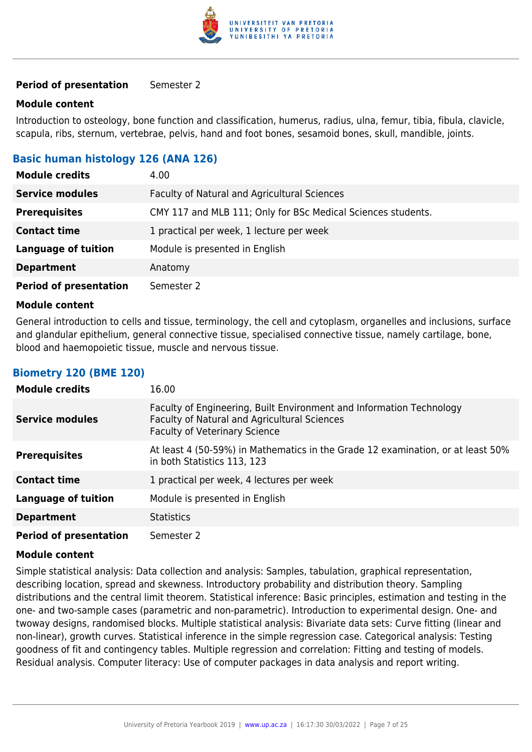

#### **Period of presentation** Semester 2

#### **Module content**

Introduction to osteology, bone function and classification, humerus, radius, ulna, femur, tibia, fibula, clavicle, scapula, ribs, sternum, vertebrae, pelvis, hand and foot bones, sesamoid bones, skull, mandible, joints.

#### **Basic human histology 126 (ANA 126)**

| <b>Module credits</b>         | 4.00                                                         |
|-------------------------------|--------------------------------------------------------------|
| <b>Service modules</b>        | Faculty of Natural and Agricultural Sciences                 |
| <b>Prerequisites</b>          | CMY 117 and MLB 111; Only for BSc Medical Sciences students. |
| <b>Contact time</b>           | 1 practical per week, 1 lecture per week                     |
| <b>Language of tuition</b>    | Module is presented in English                               |
| <b>Department</b>             | Anatomy                                                      |
| <b>Period of presentation</b> | Semester 2                                                   |

#### **Module content**

General introduction to cells and tissue, terminology, the cell and cytoplasm, organelles and inclusions, surface and glandular epithelium, general connective tissue, specialised connective tissue, namely cartilage, bone, blood and haemopoietic tissue, muscle and nervous tissue.

#### **Biometry 120 (BME 120)**

| <b>Module credits</b>         | 16.00                                                                                                                                                        |
|-------------------------------|--------------------------------------------------------------------------------------------------------------------------------------------------------------|
| <b>Service modules</b>        | Faculty of Engineering, Built Environment and Information Technology<br>Faculty of Natural and Agricultural Sciences<br><b>Faculty of Veterinary Science</b> |
| <b>Prerequisites</b>          | At least 4 (50-59%) in Mathematics in the Grade 12 examination, or at least 50%<br>in both Statistics 113, 123                                               |
| <b>Contact time</b>           | 1 practical per week, 4 lectures per week                                                                                                                    |
| <b>Language of tuition</b>    | Module is presented in English                                                                                                                               |
| <b>Department</b>             | <b>Statistics</b>                                                                                                                                            |
| <b>Period of presentation</b> | Semester 2                                                                                                                                                   |

#### **Module content**

Simple statistical analysis: Data collection and analysis: Samples, tabulation, graphical representation, describing location, spread and skewness. Introductory probability and distribution theory. Sampling distributions and the central limit theorem. Statistical inference: Basic principles, estimation and testing in the one- and two-sample cases (parametric and non-parametric). Introduction to experimental design. One- and twoway designs, randomised blocks. Multiple statistical analysis: Bivariate data sets: Curve fitting (linear and non-linear), growth curves. Statistical inference in the simple regression case. Categorical analysis: Testing goodness of fit and contingency tables. Multiple regression and correlation: Fitting and testing of models. Residual analysis. Computer literacy: Use of computer packages in data analysis and report writing.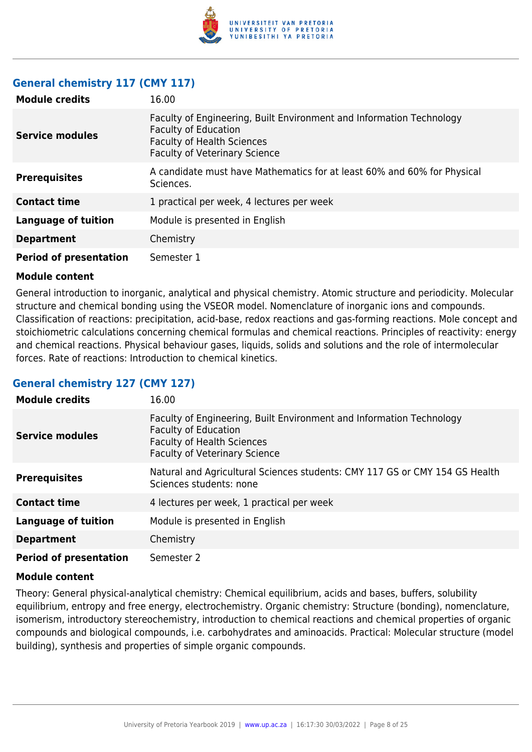

#### **General chemistry 117 (CMY 117)**

| <b>Module credits</b>         | 16.00                                                                                                                                                                            |
|-------------------------------|----------------------------------------------------------------------------------------------------------------------------------------------------------------------------------|
| <b>Service modules</b>        | Faculty of Engineering, Built Environment and Information Technology<br><b>Faculty of Education</b><br><b>Faculty of Health Sciences</b><br><b>Faculty of Veterinary Science</b> |
| <b>Prerequisites</b>          | A candidate must have Mathematics for at least 60% and 60% for Physical<br>Sciences.                                                                                             |
| <b>Contact time</b>           | 1 practical per week, 4 lectures per week                                                                                                                                        |
| <b>Language of tuition</b>    | Module is presented in English                                                                                                                                                   |
| <b>Department</b>             | Chemistry                                                                                                                                                                        |
| <b>Period of presentation</b> | Semester 1                                                                                                                                                                       |

#### **Module content**

General introduction to inorganic, analytical and physical chemistry. Atomic structure and periodicity. Molecular structure and chemical bonding using the VSEOR model. Nomenclature of inorganic ions and compounds. Classification of reactions: precipitation, acid-base, redox reactions and gas-forming reactions. Mole concept and stoichiometric calculations concerning chemical formulas and chemical reactions. Principles of reactivity: energy and chemical reactions. Physical behaviour gases, liquids, solids and solutions and the role of intermolecular forces. Rate of reactions: Introduction to chemical kinetics.

#### **General chemistry 127 (CMY 127)**

| <b>Module credits</b>         | 16.00                                                                                                                                                                            |
|-------------------------------|----------------------------------------------------------------------------------------------------------------------------------------------------------------------------------|
| <b>Service modules</b>        | Faculty of Engineering, Built Environment and Information Technology<br><b>Faculty of Education</b><br><b>Faculty of Health Sciences</b><br><b>Faculty of Veterinary Science</b> |
| <b>Prerequisites</b>          | Natural and Agricultural Sciences students: CMY 117 GS or CMY 154 GS Health<br>Sciences students: none                                                                           |
| <b>Contact time</b>           | 4 lectures per week, 1 practical per week                                                                                                                                        |
| <b>Language of tuition</b>    | Module is presented in English                                                                                                                                                   |
| <b>Department</b>             | Chemistry                                                                                                                                                                        |
| <b>Period of presentation</b> | Semester 2                                                                                                                                                                       |

#### **Module content**

Theory: General physical-analytical chemistry: Chemical equilibrium, acids and bases, buffers, solubility equilibrium, entropy and free energy, electrochemistry. Organic chemistry: Structure (bonding), nomenclature, isomerism, introductory stereochemistry, introduction to chemical reactions and chemical properties of organic compounds and biological compounds, i.e. carbohydrates and aminoacids. Practical: Molecular structure (model building), synthesis and properties of simple organic compounds.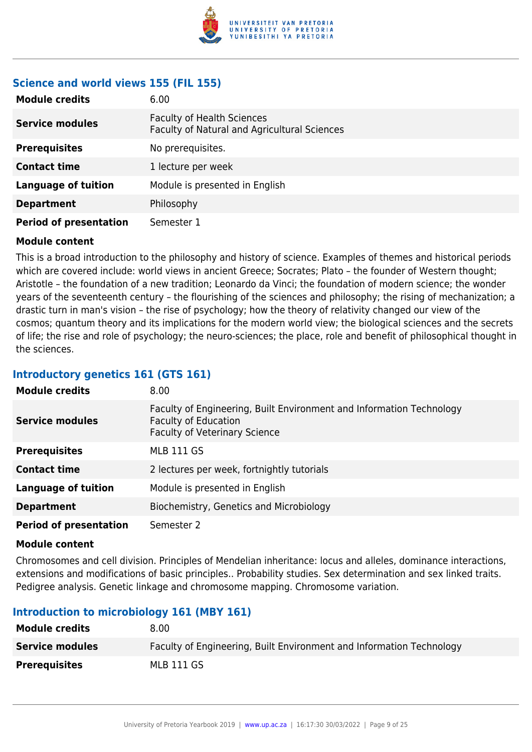

### **Science and world views 155 (FIL 155)**

| <b>Module credits</b>         | 6.00                                                                              |
|-------------------------------|-----------------------------------------------------------------------------------|
| <b>Service modules</b>        | <b>Faculty of Health Sciences</b><br>Faculty of Natural and Agricultural Sciences |
| <b>Prerequisites</b>          | No prerequisites.                                                                 |
| <b>Contact time</b>           | 1 lecture per week                                                                |
| <b>Language of tuition</b>    | Module is presented in English                                                    |
| <b>Department</b>             | Philosophy                                                                        |
| <b>Period of presentation</b> | Semester 1                                                                        |

#### **Module content**

This is a broad introduction to the philosophy and history of science. Examples of themes and historical periods which are covered include: world views in ancient Greece; Socrates; Plato – the founder of Western thought; Aristotle – the foundation of a new tradition; Leonardo da Vinci; the foundation of modern science; the wonder years of the seventeenth century – the flourishing of the sciences and philosophy; the rising of mechanization; a drastic turn in man's vision – the rise of psychology; how the theory of relativity changed our view of the cosmos; quantum theory and its implications for the modern world view; the biological sciences and the secrets of life; the rise and role of psychology; the neuro-sciences; the place, role and benefit of philosophical thought in the sciences.

#### **Introductory genetics 161 (GTS 161)**

| <b>Module credits</b>         | 8.00                                                                                                                                        |
|-------------------------------|---------------------------------------------------------------------------------------------------------------------------------------------|
| <b>Service modules</b>        | Faculty of Engineering, Built Environment and Information Technology<br><b>Faculty of Education</b><br><b>Faculty of Veterinary Science</b> |
| <b>Prerequisites</b>          | <b>MLB 111 GS</b>                                                                                                                           |
| <b>Contact time</b>           | 2 lectures per week, fortnightly tutorials                                                                                                  |
| Language of tuition           | Module is presented in English                                                                                                              |
| <b>Department</b>             | Biochemistry, Genetics and Microbiology                                                                                                     |
| <b>Period of presentation</b> | Semester 2                                                                                                                                  |

#### **Module content**

Chromosomes and cell division. Principles of Mendelian inheritance: locus and alleles, dominance interactions, extensions and modifications of basic principles.. Probability studies. Sex determination and sex linked traits. Pedigree analysis. Genetic linkage and chromosome mapping. Chromosome variation.

#### **Introduction to microbiology 161 (MBY 161)**

| <b>Module credits</b>  | 8.00                                                                 |
|------------------------|----------------------------------------------------------------------|
| <b>Service modules</b> | Faculty of Engineering, Built Environment and Information Technology |
| <b>Prerequisites</b>   | MLB 111 GS                                                           |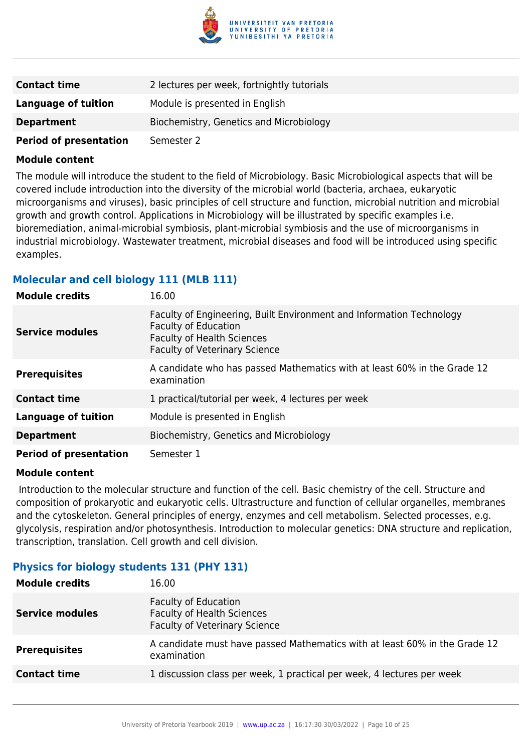

| <b>Contact time</b>           | 2 lectures per week, fortnightly tutorials |
|-------------------------------|--------------------------------------------|
| Language of tuition           | Module is presented in English             |
| <b>Department</b>             | Biochemistry, Genetics and Microbiology    |
| <b>Period of presentation</b> | Semester 2                                 |

The module will introduce the student to the field of Microbiology. Basic Microbiological aspects that will be covered include introduction into the diversity of the microbial world (bacteria, archaea, eukaryotic microorganisms and viruses), basic principles of cell structure and function, microbial nutrition and microbial growth and growth control. Applications in Microbiology will be illustrated by specific examples i.e. bioremediation, animal-microbial symbiosis, plant-microbial symbiosis and the use of microorganisms in industrial microbiology. Wastewater treatment, microbial diseases and food will be introduced using specific examples.

#### **Molecular and cell biology 111 (MLB 111)**

| <b>Module credits</b>         | 16.00                                                                                                                                                                            |
|-------------------------------|----------------------------------------------------------------------------------------------------------------------------------------------------------------------------------|
| <b>Service modules</b>        | Faculty of Engineering, Built Environment and Information Technology<br><b>Faculty of Education</b><br><b>Faculty of Health Sciences</b><br><b>Faculty of Veterinary Science</b> |
| <b>Prerequisites</b>          | A candidate who has passed Mathematics with at least 60% in the Grade 12<br>examination                                                                                          |
| <b>Contact time</b>           | 1 practical/tutorial per week, 4 lectures per week                                                                                                                               |
| <b>Language of tuition</b>    | Module is presented in English                                                                                                                                                   |
| <b>Department</b>             | Biochemistry, Genetics and Microbiology                                                                                                                                          |
| <b>Period of presentation</b> | Semester 1                                                                                                                                                                       |

#### **Module content**

 Introduction to the molecular structure and function of the cell. Basic chemistry of the cell. Structure and composition of prokaryotic and eukaryotic cells. Ultrastructure and function of cellular organelles, membranes and the cytoskeleton. General principles of energy, enzymes and cell metabolism. Selected processes, e.g. glycolysis, respiration and/or photosynthesis. Introduction to molecular genetics: DNA structure and replication, transcription, translation. Cell growth and cell division.

#### **Physics for biology students 131 (PHY 131)**

| <b>Module credits</b>  | 16.00                                                                                                    |
|------------------------|----------------------------------------------------------------------------------------------------------|
| <b>Service modules</b> | <b>Faculty of Education</b><br><b>Faculty of Health Sciences</b><br><b>Faculty of Veterinary Science</b> |
| <b>Prerequisites</b>   | A candidate must have passed Mathematics with at least 60% in the Grade 12<br>examination                |
| <b>Contact time</b>    | 1 discussion class per week, 1 practical per week, 4 lectures per week                                   |
|                        |                                                                                                          |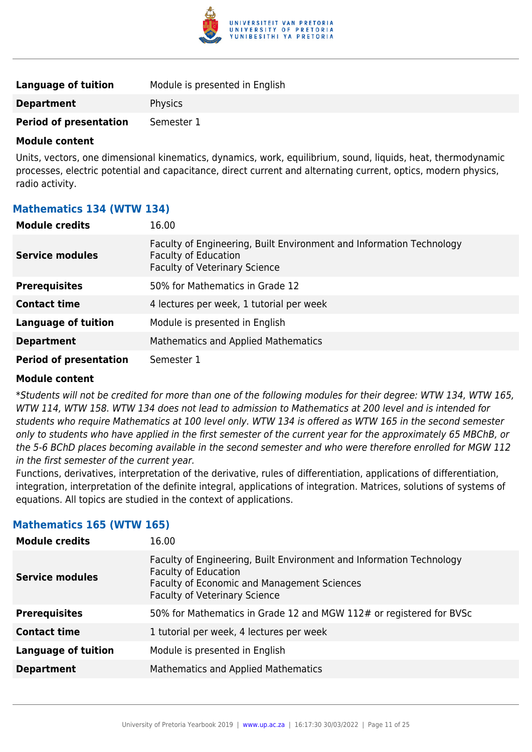

| Language of tuition           | Module is presented in English |
|-------------------------------|--------------------------------|
| <b>Department</b>             | Physics                        |
| <b>Period of presentation</b> | Semester 1                     |

Units, vectors, one dimensional kinematics, dynamics, work, equilibrium, sound, liquids, heat, thermodynamic processes, electric potential and capacitance, direct current and alternating current, optics, modern physics, radio activity.

#### **Mathematics 134 (WTW 134)**

| <b>Module credits</b>         | 16.00                                                                                                                                       |
|-------------------------------|---------------------------------------------------------------------------------------------------------------------------------------------|
| <b>Service modules</b>        | Faculty of Engineering, Built Environment and Information Technology<br><b>Faculty of Education</b><br><b>Faculty of Veterinary Science</b> |
| <b>Prerequisites</b>          | 50% for Mathematics in Grade 12                                                                                                             |
| <b>Contact time</b>           | 4 lectures per week, 1 tutorial per week                                                                                                    |
| <b>Language of tuition</b>    | Module is presented in English                                                                                                              |
| <b>Department</b>             | <b>Mathematics and Applied Mathematics</b>                                                                                                  |
| <b>Period of presentation</b> | Semester 1                                                                                                                                  |

#### **Module content**

\*Students will not be credited for more than one of the following modules for their degree: WTW 134, WTW 165, WTW 114, WTW 158. WTW 134 does not lead to admission to Mathematics at 200 level and is intended for students who require Mathematics at 100 level only. WTW 134 is offered as WTW 165 in the second semester only to students who have applied in the first semester of the current year for the approximately 65 MBChB, or the 5-6 BChD places becoming available in the second semester and who were therefore enrolled for MGW 112 in the first semester of the current year.

Functions, derivatives, interpretation of the derivative, rules of differentiation, applications of differentiation, integration, interpretation of the definite integral, applications of integration. Matrices, solutions of systems of equations. All topics are studied in the context of applications.

#### **Mathematics 165 (WTW 165)**

| <b>Module credits</b>      | 16.00                                                                                                                                                                                      |
|----------------------------|--------------------------------------------------------------------------------------------------------------------------------------------------------------------------------------------|
| <b>Service modules</b>     | Faculty of Engineering, Built Environment and Information Technology<br><b>Faculty of Education</b><br>Faculty of Economic and Management Sciences<br><b>Faculty of Veterinary Science</b> |
| <b>Prerequisites</b>       | 50% for Mathematics in Grade 12 and MGW 112# or registered for BVSc                                                                                                                        |
| <b>Contact time</b>        | 1 tutorial per week, 4 lectures per week                                                                                                                                                   |
| <b>Language of tuition</b> | Module is presented in English                                                                                                                                                             |
| <b>Department</b>          | Mathematics and Applied Mathematics                                                                                                                                                        |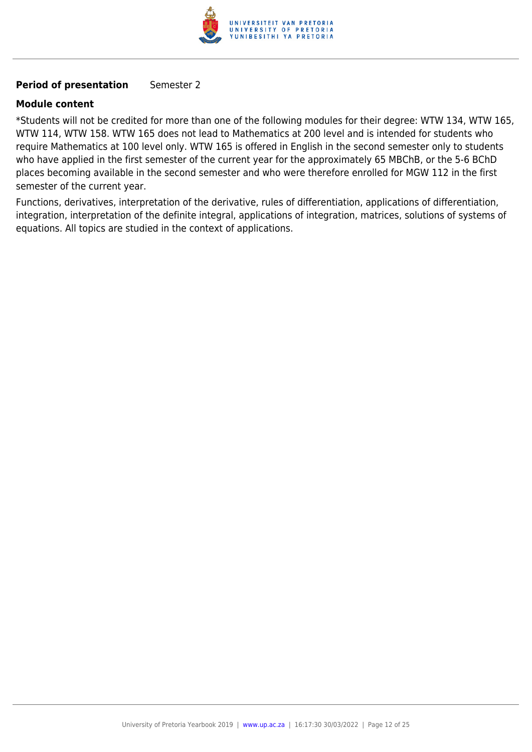

#### **Period of presentation** Semester 2

#### **Module content**

\*Students will not be credited for more than one of the following modules for their degree: WTW 134, WTW 165, WTW 114, WTW 158. WTW 165 does not lead to Mathematics at 200 level and is intended for students who require Mathematics at 100 level only. WTW 165 is offered in English in the second semester only to students who have applied in the first semester of the current year for the approximately 65 MBChB, or the 5-6 BChD places becoming available in the second semester and who were therefore enrolled for MGW 112 in the first semester of the current year.

Functions, derivatives, interpretation of the derivative, rules of differentiation, applications of differentiation, integration, interpretation of the definite integral, applications of integration, matrices, solutions of systems of equations. All topics are studied in the context of applications.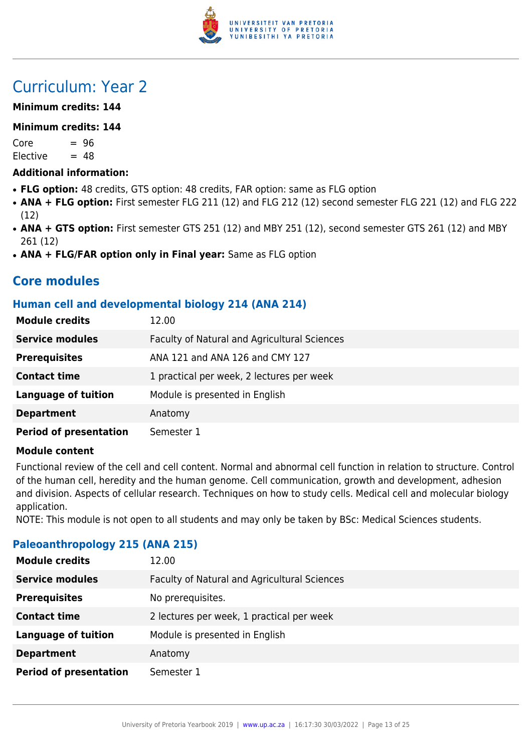

## Curriculum: Year 2

#### **Minimum credits: 144**

#### **Minimum credits: 144**

 $Core = 96$  $Electric = 48$ 

#### **Additional information:**

- FLG option: 48 credits, GTS option: 48 credits, FAR option: same as FLG option
- **ANA + FLG option:** First semester FLG 211 (12) and FLG 212 (12) second semester FLG 221 (12) and FLG 222 (12)
- ANA + GTS option: First semester GTS 251 (12) and MBY 251 (12), second semester GTS 261 (12) and MBY 261 (12)
- ANA + FLG/FAR option only in Final year: Same as FLG option

## **Core modules**

#### **Human cell and developmental biology 214 (ANA 214)**

| <b>Module credits</b>         | 12.00                                        |
|-------------------------------|----------------------------------------------|
| <b>Service modules</b>        | Faculty of Natural and Agricultural Sciences |
| <b>Prerequisites</b>          | ANA 121 and ANA 126 and CMY 127              |
| <b>Contact time</b>           | 1 practical per week, 2 lectures per week    |
| <b>Language of tuition</b>    | Module is presented in English               |
| <b>Department</b>             | Anatomy                                      |
| <b>Period of presentation</b> | Semester 1                                   |

#### **Module content**

Functional review of the cell and cell content. Normal and abnormal cell function in relation to structure. Control of the human cell, heredity and the human genome. Cell communication, growth and development, adhesion and division. Aspects of cellular research. Techniques on how to study cells. Medical cell and molecular biology application.

NOTE: This module is not open to all students and may only be taken by BSc: Medical Sciences students.

#### **Paleoanthropology 215 (ANA 215)**

| <b>Module credits</b>         | 12.00                                        |
|-------------------------------|----------------------------------------------|
| <b>Service modules</b>        | Faculty of Natural and Agricultural Sciences |
| <b>Prerequisites</b>          | No prerequisites.                            |
| <b>Contact time</b>           | 2 lectures per week, 1 practical per week    |
| <b>Language of tuition</b>    | Module is presented in English               |
| <b>Department</b>             | Anatomy                                      |
| <b>Period of presentation</b> | Semester 1                                   |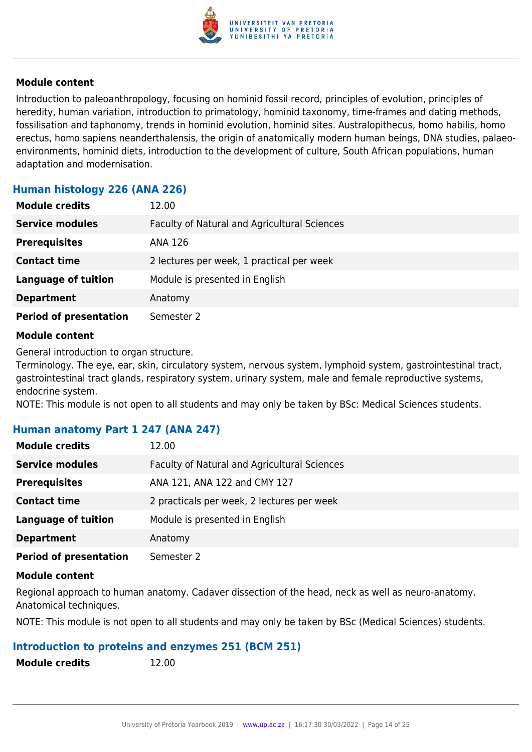

Introduction to paleoanthropology, focusing on hominid fossil record, principles of evolution, principles of heredity, human variation, introduction to primatology, hominid taxonomy, time-frames and dating methods, fossilisation and taphonomy, trends in hominid evolution, hominid sites. Australopithecus, homo habilis, homo erectus, homo sapiens neanderthalensis, the origin of anatomically modern human beings, DNA studies, palaeoenvironments, hominid diets, introduction to the development of culture, South African populations, human adaptation and modernisation.

#### **Human histology 226 (ANA 226)**

| <b>Module credits</b>         | 12.00                                        |
|-------------------------------|----------------------------------------------|
| <b>Service modules</b>        | Faculty of Natural and Agricultural Sciences |
| <b>Prerequisites</b>          | ANA 126                                      |
| <b>Contact time</b>           | 2 lectures per week, 1 practical per week    |
| <b>Language of tuition</b>    | Module is presented in English               |
| <b>Department</b>             | Anatomy                                      |
| <b>Period of presentation</b> | Semester 2                                   |

#### **Module content**

General introduction to organ structure.

Terminology. The eye, ear, skin, circulatory system, nervous system, lymphoid system, gastrointestinal tract, gastrointestinal tract glands, respiratory system, urinary system, male and female reproductive systems, endocrine system.

NOTE: This module is not open to all students and may only be taken by BSc: Medical Sciences students.

#### **Human anatomy Part 1 247 (ANA 247)**

| <b>Module credits</b>         | 12.00                                        |
|-------------------------------|----------------------------------------------|
| <b>Service modules</b>        | Faculty of Natural and Agricultural Sciences |
| <b>Prerequisites</b>          | ANA 121, ANA 122 and CMY 127                 |
| <b>Contact time</b>           | 2 practicals per week, 2 lectures per week   |
| <b>Language of tuition</b>    | Module is presented in English               |
| <b>Department</b>             | Anatomy                                      |
| <b>Period of presentation</b> | Semester 2                                   |

#### **Module content**

Regional approach to human anatomy. Cadaver dissection of the head, neck as well as neuro-anatomy. Anatomical techniques.

NOTE: This module is not open to all students and may only be taken by BSc (Medical Sciences) students.

#### **Introduction to proteins and enzymes 251 (BCM 251)**

**Module credits** 12.00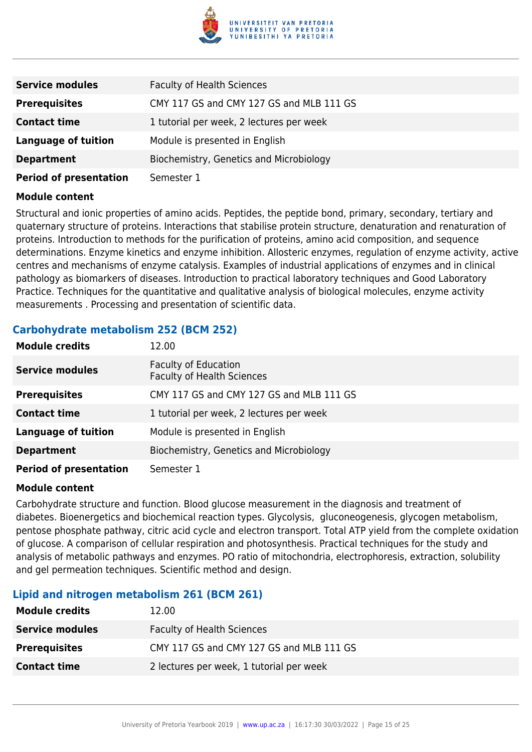

| <b>Service modules</b>        | <b>Faculty of Health Sciences</b>        |
|-------------------------------|------------------------------------------|
| <b>Prerequisites</b>          | CMY 117 GS and CMY 127 GS and MLB 111 GS |
| <b>Contact time</b>           | 1 tutorial per week, 2 lectures per week |
| <b>Language of tuition</b>    | Module is presented in English           |
| <b>Department</b>             | Biochemistry, Genetics and Microbiology  |
| <b>Period of presentation</b> | Semester 1                               |

Structural and ionic properties of amino acids. Peptides, the peptide bond, primary, secondary, tertiary and quaternary structure of proteins. Interactions that stabilise protein structure, denaturation and renaturation of proteins. Introduction to methods for the purification of proteins, amino acid composition, and sequence determinations. Enzyme kinetics and enzyme inhibition. Allosteric enzymes, regulation of enzyme activity, active centres and mechanisms of enzyme catalysis. Examples of industrial applications of enzymes and in clinical pathology as biomarkers of diseases. Introduction to practical laboratory techniques and Good Laboratory Practice. Techniques for the quantitative and qualitative analysis of biological molecules, enzyme activity measurements . Processing and presentation of scientific data.

#### **Carbohydrate metabolism 252 (BCM 252)**

| <b>Module credits</b>         | 12.00                                                            |
|-------------------------------|------------------------------------------------------------------|
| <b>Service modules</b>        | <b>Faculty of Education</b><br><b>Faculty of Health Sciences</b> |
| <b>Prerequisites</b>          | CMY 117 GS and CMY 127 GS and MLB 111 GS                         |
| <b>Contact time</b>           | 1 tutorial per week, 2 lectures per week                         |
| <b>Language of tuition</b>    | Module is presented in English                                   |
| <b>Department</b>             | Biochemistry, Genetics and Microbiology                          |
| <b>Period of presentation</b> | Semester 1                                                       |

#### **Module content**

Carbohydrate structure and function. Blood glucose measurement in the diagnosis and treatment of diabetes. Bioenergetics and biochemical reaction types. Glycolysis, gluconeogenesis, glycogen metabolism, pentose phosphate pathway, citric acid cycle and electron transport. Total ATP yield from the complete oxidation of glucose. A comparison of cellular respiration and photosynthesis. Practical techniques for the study and analysis of metabolic pathways and enzymes. PO ratio of mitochondria, electrophoresis, extraction, solubility and gel permeation techniques. Scientific method and design.

#### **Lipid and nitrogen metabolism 261 (BCM 261)**

| <b>Module credits</b>  | 12.00                                    |
|------------------------|------------------------------------------|
| <b>Service modules</b> | <b>Faculty of Health Sciences</b>        |
| <b>Prerequisites</b>   | CMY 117 GS and CMY 127 GS and MLB 111 GS |
| <b>Contact time</b>    | 2 lectures per week, 1 tutorial per week |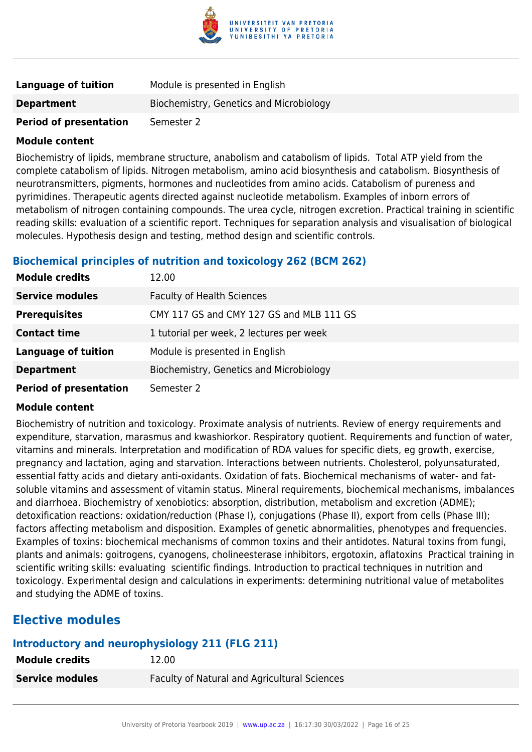

| <b>Language of tuition</b>    | Module is presented in English          |
|-------------------------------|-----------------------------------------|
| <b>Department</b>             | Biochemistry, Genetics and Microbiology |
| <b>Period of presentation</b> | Semester 2                              |

Biochemistry of lipids, membrane structure, anabolism and catabolism of lipids. Total ATP yield from the complete catabolism of lipids. Nitrogen metabolism, amino acid biosynthesis and catabolism. Biosynthesis of neurotransmitters, pigments, hormones and nucleotides from amino acids. Catabolism of pureness and pyrimidines. Therapeutic agents directed against nucleotide metabolism. Examples of inborn errors of metabolism of nitrogen containing compounds. The urea cycle, nitrogen excretion. Practical training in scientific reading skills: evaluation of a scientific report. Techniques for separation analysis and visualisation of biological molecules. Hypothesis design and testing, method design and scientific controls.

### **Biochemical principles of nutrition and toxicology 262 (BCM 262)**

| <b>Module credits</b>         | 12.00                                    |
|-------------------------------|------------------------------------------|
| <b>Service modules</b>        | <b>Faculty of Health Sciences</b>        |
| <b>Prerequisites</b>          | CMY 117 GS and CMY 127 GS and MLB 111 GS |
| <b>Contact time</b>           | 1 tutorial per week, 2 lectures per week |
| <b>Language of tuition</b>    | Module is presented in English           |
| <b>Department</b>             | Biochemistry, Genetics and Microbiology  |
| <b>Period of presentation</b> | Semester 2                               |

#### **Module content**

Biochemistry of nutrition and toxicology. Proximate analysis of nutrients. Review of energy requirements and expenditure, starvation, marasmus and kwashiorkor. Respiratory quotient. Requirements and function of water, vitamins and minerals. Interpretation and modification of RDA values for specific diets, eg growth, exercise, pregnancy and lactation, aging and starvation. Interactions between nutrients. Cholesterol, polyunsaturated, essential fatty acids and dietary anti-oxidants. Oxidation of fats. Biochemical mechanisms of water- and fatsoluble vitamins and assessment of vitamin status. Mineral requirements, biochemical mechanisms, imbalances and diarrhoea. Biochemistry of xenobiotics: absorption, distribution, metabolism and excretion (ADME); detoxification reactions: oxidation/reduction (Phase I), conjugations (Phase II), export from cells (Phase III); factors affecting metabolism and disposition. Examples of genetic abnormalities, phenotypes and frequencies. Examples of toxins: biochemical mechanisms of common toxins and their antidotes. Natural toxins from fungi, plants and animals: goitrogens, cyanogens, cholineesterase inhibitors, ergotoxin, aflatoxins Practical training in scientific writing skills: evaluating scientific findings. Introduction to practical techniques in nutrition and toxicology. Experimental design and calculations in experiments: determining nutritional value of metabolites and studying the ADME of toxins.

## **Elective modules**

### **Introductory and neurophysiology 211 (FLG 211)**

| <b>Service modules</b> | Faculty of Natural and Agricultural Sciences |
|------------------------|----------------------------------------------|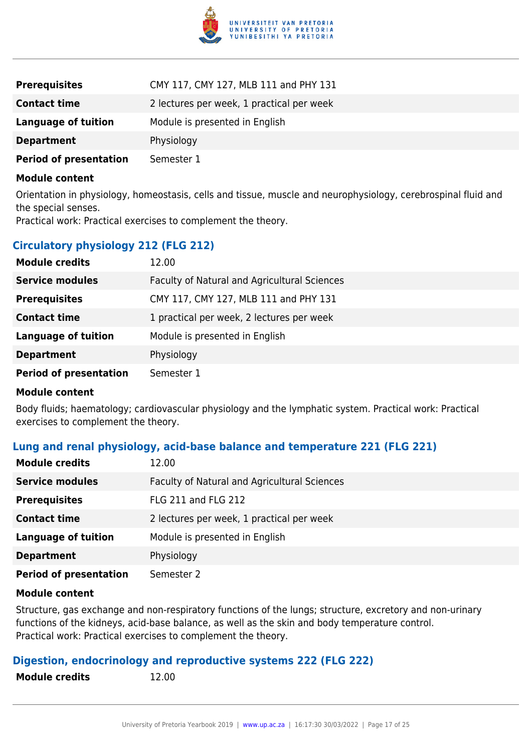

| <b>Prerequisites</b>          | CMY 117, CMY 127, MLB 111 and PHY 131     |
|-------------------------------|-------------------------------------------|
| <b>Contact time</b>           | 2 lectures per week, 1 practical per week |
| <b>Language of tuition</b>    | Module is presented in English            |
| <b>Department</b>             | Physiology                                |
| <b>Period of presentation</b> | Semester 1                                |

Orientation in physiology, homeostasis, cells and tissue, muscle and neurophysiology, cerebrospinal fluid and the special senses.

Practical work: Practical exercises to complement the theory.

#### **Circulatory physiology 212 (FLG 212)**

| <b>Module credits</b>         | 12.00                                        |
|-------------------------------|----------------------------------------------|
| <b>Service modules</b>        | Faculty of Natural and Agricultural Sciences |
| <b>Prerequisites</b>          | CMY 117, CMY 127, MLB 111 and PHY 131        |
| <b>Contact time</b>           | 1 practical per week, 2 lectures per week    |
| <b>Language of tuition</b>    | Module is presented in English               |
| <b>Department</b>             | Physiology                                   |
| <b>Period of presentation</b> | Semester 1                                   |

#### **Module content**

Body fluids; haematology; cardiovascular physiology and the lymphatic system. Practical work: Practical exercises to complement the theory.

#### **Lung and renal physiology, acid-base balance and temperature 221 (FLG 221)**

| <b>Module credits</b>         | 12.00                                        |
|-------------------------------|----------------------------------------------|
| <b>Service modules</b>        | Faculty of Natural and Agricultural Sciences |
| <b>Prerequisites</b>          | <b>FLG 211 and FLG 212</b>                   |
| <b>Contact time</b>           | 2 lectures per week, 1 practical per week    |
| <b>Language of tuition</b>    | Module is presented in English               |
| <b>Department</b>             | Physiology                                   |
| <b>Period of presentation</b> | Semester 2                                   |

#### **Module content**

Structure, gas exchange and non-respiratory functions of the lungs; structure, excretory and non-urinary functions of the kidneys, acid-base balance, as well as the skin and body temperature control. Practical work: Practical exercises to complement the theory.

#### **Digestion, endocrinology and reproductive systems 222 (FLG 222)**

**Module credits** 12.00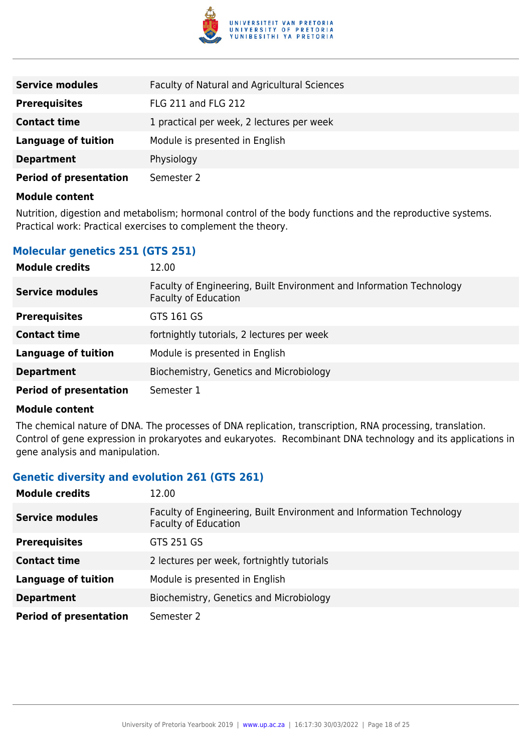

| <b>Service modules</b>        | Faculty of Natural and Agricultural Sciences |
|-------------------------------|----------------------------------------------|
| <b>Prerequisites</b>          | FLG 211 and FLG 212                          |
| <b>Contact time</b>           | 1 practical per week, 2 lectures per week    |
| <b>Language of tuition</b>    | Module is presented in English               |
| <b>Department</b>             | Physiology                                   |
| <b>Period of presentation</b> | Semester 2                                   |

Nutrition, digestion and metabolism; hormonal control of the body functions and the reproductive systems. Practical work: Practical exercises to complement the theory.

### **Molecular genetics 251 (GTS 251)**

| <b>Module credits</b>         | 12.00                                                                                               |
|-------------------------------|-----------------------------------------------------------------------------------------------------|
| <b>Service modules</b>        | Faculty of Engineering, Built Environment and Information Technology<br><b>Faculty of Education</b> |
| <b>Prerequisites</b>          | GTS 161 GS                                                                                          |
| <b>Contact time</b>           | fortnightly tutorials, 2 lectures per week                                                          |
| <b>Language of tuition</b>    | Module is presented in English                                                                      |
| <b>Department</b>             | Biochemistry, Genetics and Microbiology                                                             |
| <b>Period of presentation</b> | Semester 1                                                                                          |

#### **Module content**

The chemical nature of DNA. The processes of DNA replication, transcription, RNA processing, translation. Control of gene expression in prokaryotes and eukaryotes. Recombinant DNA technology and its applications in gene analysis and manipulation.

#### **Genetic diversity and evolution 261 (GTS 261)**

| <b>Module credits</b>         | 12.00                                                                                               |
|-------------------------------|-----------------------------------------------------------------------------------------------------|
| <b>Service modules</b>        | Faculty of Engineering, Built Environment and Information Technology<br><b>Faculty of Education</b> |
| <b>Prerequisites</b>          | GTS 251 GS                                                                                          |
| <b>Contact time</b>           | 2 lectures per week, fortnightly tutorials                                                          |
| <b>Language of tuition</b>    | Module is presented in English                                                                      |
| <b>Department</b>             | Biochemistry, Genetics and Microbiology                                                             |
| <b>Period of presentation</b> | Semester 2                                                                                          |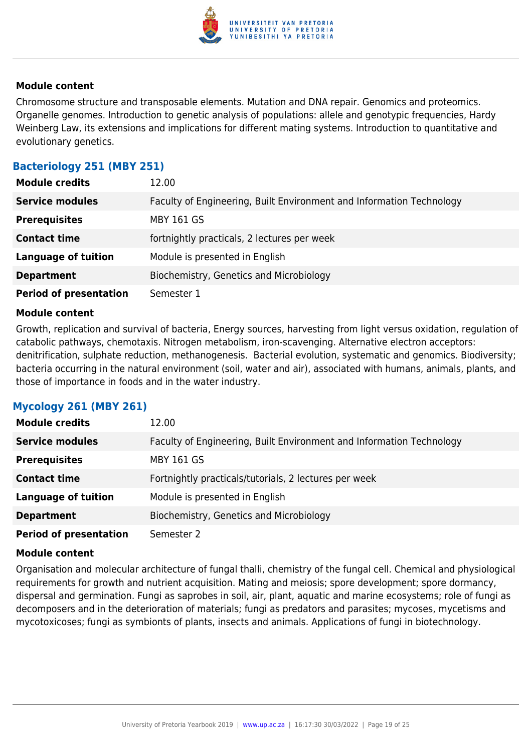

Chromosome structure and transposable elements. Mutation and DNA repair. Genomics and proteomics. Organelle genomes. Introduction to genetic analysis of populations: allele and genotypic frequencies, Hardy Weinberg Law, its extensions and implications for different mating systems. Introduction to quantitative and evolutionary genetics.

### **Bacteriology 251 (MBY 251)**

| <b>Module credits</b>         | 12.00                                                                |
|-------------------------------|----------------------------------------------------------------------|
| <b>Service modules</b>        | Faculty of Engineering, Built Environment and Information Technology |
| <b>Prerequisites</b>          | <b>MBY 161 GS</b>                                                    |
| <b>Contact time</b>           | fortnightly practicals, 2 lectures per week                          |
| <b>Language of tuition</b>    | Module is presented in English                                       |
| <b>Department</b>             | Biochemistry, Genetics and Microbiology                              |
| <b>Period of presentation</b> | Semester 1                                                           |

#### **Module content**

Growth, replication and survival of bacteria, Energy sources, harvesting from light versus oxidation, regulation of catabolic pathways, chemotaxis. Nitrogen metabolism, iron-scavenging. Alternative electron acceptors: denitrification, sulphate reduction, methanogenesis. Bacterial evolution, systematic and genomics. Biodiversity; bacteria occurring in the natural environment (soil, water and air), associated with humans, animals, plants, and those of importance in foods and in the water industry.

#### **Mycology 261 (MBY 261)**

| <b>Module credits</b>         | 12.00                                                                |
|-------------------------------|----------------------------------------------------------------------|
| <b>Service modules</b>        | Faculty of Engineering, Built Environment and Information Technology |
| <b>Prerequisites</b>          | <b>MBY 161 GS</b>                                                    |
| <b>Contact time</b>           | Fortnightly practicals/tutorials, 2 lectures per week                |
| <b>Language of tuition</b>    | Module is presented in English                                       |
| <b>Department</b>             | Biochemistry, Genetics and Microbiology                              |
| <b>Period of presentation</b> | Semester 2                                                           |

#### **Module content**

Organisation and molecular architecture of fungal thalli, chemistry of the fungal cell. Chemical and physiological requirements for growth and nutrient acquisition. Mating and meiosis; spore development; spore dormancy, dispersal and germination. Fungi as saprobes in soil, air, plant, aquatic and marine ecosystems; role of fungi as decomposers and in the deterioration of materials; fungi as predators and parasites; mycoses, mycetisms and mycotoxicoses; fungi as symbionts of plants, insects and animals. Applications of fungi in biotechnology.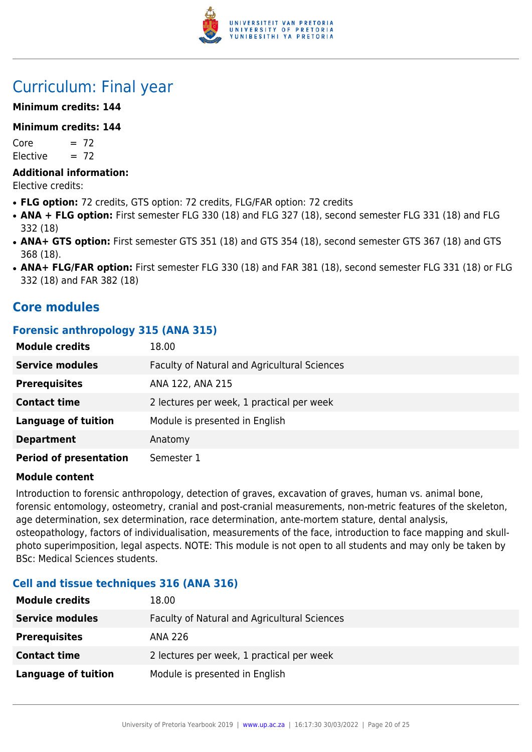

## Curriculum: Final year

#### **Minimum credits: 144**

#### **Minimum credits: 144**

 $Core = 72$ Elective  $= 72$ 

#### **Additional information:**

Elective credits:

- **FLG option:** 72 credits, GTS option: 72 credits, FLG/FAR option: 72 credits
- ANA + FLG option: First semester FLG 330 (18) and FLG 327 (18), second semester FLG 331 (18) and FLG 332 (18)
- ANA+ GTS option: First semester GTS 351 (18) and GTS 354 (18), second semester GTS 367 (18) and GTS 368 (18).
- ANA+ FLG/FAR option: First semester FLG 330 (18) and FAR 381 (18), second semester FLG 331 (18) or FLG 332 (18) and FAR 382 (18)

## **Core modules**

#### **Forensic anthropology 315 (ANA 315)**

| <b>Module credits</b>         | 18.00                                        |
|-------------------------------|----------------------------------------------|
| <b>Service modules</b>        | Faculty of Natural and Agricultural Sciences |
| <b>Prerequisites</b>          | ANA 122, ANA 215                             |
| <b>Contact time</b>           | 2 lectures per week, 1 practical per week    |
| <b>Language of tuition</b>    | Module is presented in English               |
| <b>Department</b>             | Anatomy                                      |
| <b>Period of presentation</b> | Semester 1                                   |

#### **Module content**

Introduction to forensic anthropology, detection of graves, excavation of graves, human vs. animal bone, forensic entomology, osteometry, cranial and post-cranial measurements, non-metric features of the skeleton, age determination, sex determination, race determination, ante-mortem stature, dental analysis, osteopathology, factors of individualisation, measurements of the face, introduction to face mapping and skullphoto superimposition, legal aspects. NOTE: This module is not open to all students and may only be taken by BSc: Medical Sciences students.

#### **Cell and tissue techniques 316 (ANA 316)**

| <b>Module credits</b>  | 18.00                                        |
|------------------------|----------------------------------------------|
| <b>Service modules</b> | Faculty of Natural and Agricultural Sciences |
| <b>Prerequisites</b>   | ANA 226                                      |
| <b>Contact time</b>    | 2 lectures per week, 1 practical per week    |
| Language of tuition    | Module is presented in English               |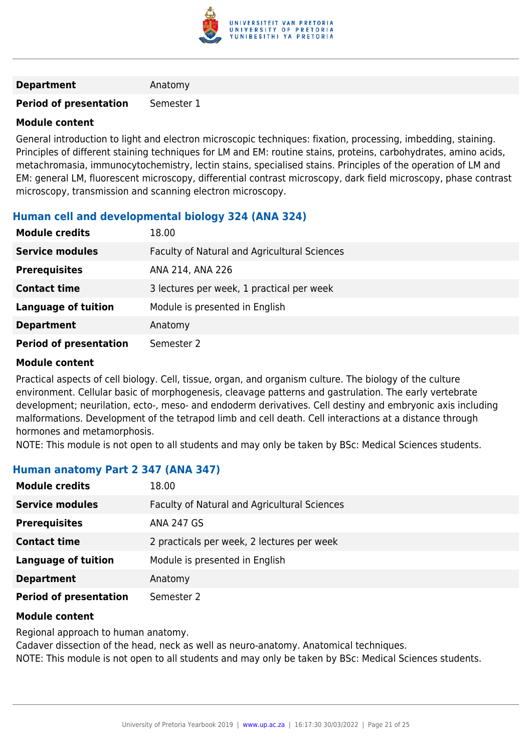

#### **Department** Anatomy

#### **Period of presentation** Semester 1

#### **Module content**

General introduction to light and electron microscopic techniques: fixation, processing, imbedding, staining. Principles of different staining techniques for LM and EM: routine stains, proteins, carbohydrates, amino acids, metachromasia, immunocytochemistry, lectin stains, specialised stains. Principles of the operation of LM and EM: general LM, fluorescent microscopy, differential contrast microscopy, dark field microscopy, phase contrast microscopy, transmission and scanning electron microscopy.

#### **Human cell and developmental biology 324 (ANA 324)**

| <b>Module credits</b>         | 18.00                                        |
|-------------------------------|----------------------------------------------|
| <b>Service modules</b>        | Faculty of Natural and Agricultural Sciences |
| <b>Prerequisites</b>          | ANA 214, ANA 226                             |
| <b>Contact time</b>           | 3 lectures per week, 1 practical per week    |
| <b>Language of tuition</b>    | Module is presented in English               |
| <b>Department</b>             | Anatomy                                      |
| <b>Period of presentation</b> | Semester 2                                   |

#### **Module content**

Practical aspects of cell biology. Cell, tissue, organ, and organism culture. The biology of the culture environment. Cellular basic of morphogenesis, cleavage patterns and gastrulation. The early vertebrate development; neurilation, ecto-, meso- and endoderm derivatives. Cell destiny and embryonic axis including malformations. Development of the tetrapod limb and cell death. Cell interactions at a distance through hormones and metamorphosis.

NOTE: This module is not open to all students and may only be taken by BSc: Medical Sciences students.

#### **Human anatomy Part 2 347 (ANA 347)**

| <b>Module credits</b>         | 18.00                                        |
|-------------------------------|----------------------------------------------|
| <b>Service modules</b>        | Faculty of Natural and Agricultural Sciences |
| <b>Prerequisites</b>          | <b>ANA 247 GS</b>                            |
| <b>Contact time</b>           | 2 practicals per week, 2 lectures per week   |
| <b>Language of tuition</b>    | Module is presented in English               |
| <b>Department</b>             | Anatomy                                      |
| <b>Period of presentation</b> | Semester 2                                   |

#### **Module content**

Regional approach to human anatomy.

Cadaver dissection of the head, neck as well as neuro-anatomy. Anatomical techniques. NOTE: This module is not open to all students and may only be taken by BSc: Medical Sciences students.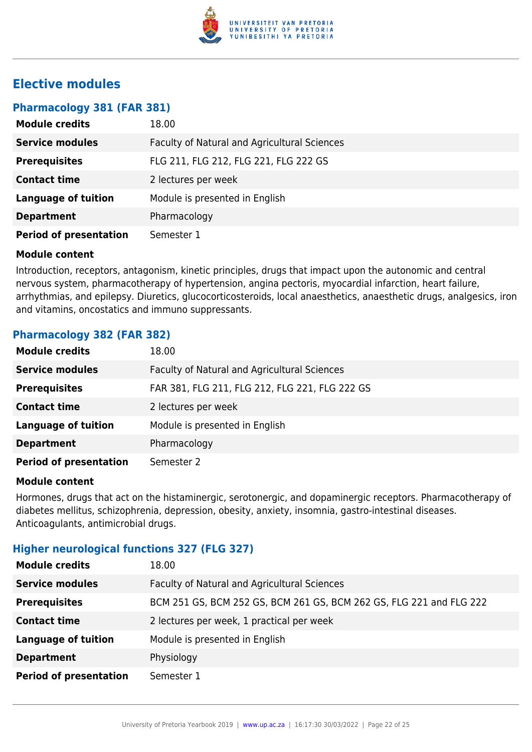

## **Elective modules**

| Pharmacology 381 (FAR 381) |  |  |  |
|----------------------------|--|--|--|
|----------------------------|--|--|--|

| <b>Module credits</b>         | 18.00                                        |
|-------------------------------|----------------------------------------------|
| <b>Service modules</b>        | Faculty of Natural and Agricultural Sciences |
| <b>Prerequisites</b>          | FLG 211, FLG 212, FLG 221, FLG 222 GS        |
| <b>Contact time</b>           | 2 lectures per week                          |
| <b>Language of tuition</b>    | Module is presented in English               |
| <b>Department</b>             | Pharmacology                                 |
| <b>Period of presentation</b> | Semester 1                                   |

#### **Module content**

Introduction, receptors, antagonism, kinetic principles, drugs that impact upon the autonomic and central nervous system, pharmacotherapy of hypertension, angina pectoris, myocardial infarction, heart failure, arrhythmias, and epilepsy. Diuretics, glucocorticosteroids, local anaesthetics, anaesthetic drugs, analgesics, iron and vitamins, oncostatics and immuno suppressants.

#### **Pharmacology 382 (FAR 382)**

| <b>Module credits</b>         | 18.00                                          |
|-------------------------------|------------------------------------------------|
| <b>Service modules</b>        | Faculty of Natural and Agricultural Sciences   |
| <b>Prerequisites</b>          | FAR 381, FLG 211, FLG 212, FLG 221, FLG 222 GS |
| <b>Contact time</b>           | 2 lectures per week                            |
| <b>Language of tuition</b>    | Module is presented in English                 |
| <b>Department</b>             | Pharmacology                                   |
| <b>Period of presentation</b> | Semester 2                                     |

#### **Module content**

Hormones, drugs that act on the histaminergic, serotonergic, and dopaminergic receptors. Pharmacotherapy of diabetes mellitus, schizophrenia, depression, obesity, anxiety, insomnia, gastro-intestinal diseases. Anticoagulants, antimicrobial drugs.

#### **Higher neurological functions 327 (FLG 327)**

| <b>Module credits</b>         | 18.00                                                               |
|-------------------------------|---------------------------------------------------------------------|
| <b>Service modules</b>        | Faculty of Natural and Agricultural Sciences                        |
| <b>Prerequisites</b>          | BCM 251 GS, BCM 252 GS, BCM 261 GS, BCM 262 GS, FLG 221 and FLG 222 |
| <b>Contact time</b>           | 2 lectures per week, 1 practical per week                           |
| <b>Language of tuition</b>    | Module is presented in English                                      |
| <b>Department</b>             | Physiology                                                          |
| <b>Period of presentation</b> | Semester 1                                                          |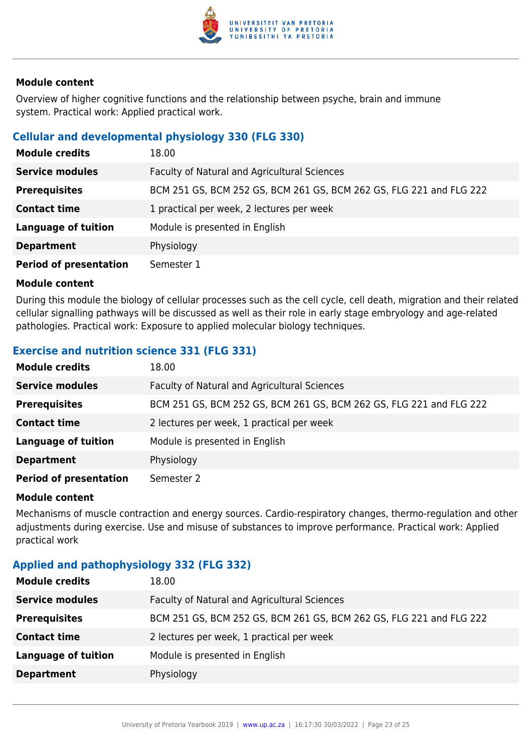

Overview of higher cognitive functions and the relationship between psyche, brain and immune system. Practical work: Applied practical work.

#### **Cellular and developmental physiology 330 (FLG 330)**

| <b>Module credits</b>         | 18.00                                                               |
|-------------------------------|---------------------------------------------------------------------|
| <b>Service modules</b>        | Faculty of Natural and Agricultural Sciences                        |
| <b>Prerequisites</b>          | BCM 251 GS, BCM 252 GS, BCM 261 GS, BCM 262 GS, FLG 221 and FLG 222 |
| <b>Contact time</b>           | 1 practical per week, 2 lectures per week                           |
| <b>Language of tuition</b>    | Module is presented in English                                      |
| <b>Department</b>             | Physiology                                                          |
| <b>Period of presentation</b> | Semester 1                                                          |

#### **Module content**

During this module the biology of cellular processes such as the cell cycle, cell death, migration and their related cellular signalling pathways will be discussed as well as their role in early stage embryology and age-related pathologies. Practical work: Exposure to applied molecular biology techniques.

### **Exercise and nutrition science 331 (FLG 331)**

| <b>Module credits</b>         | 18.00                                                               |
|-------------------------------|---------------------------------------------------------------------|
| <b>Service modules</b>        | Faculty of Natural and Agricultural Sciences                        |
| <b>Prerequisites</b>          | BCM 251 GS, BCM 252 GS, BCM 261 GS, BCM 262 GS, FLG 221 and FLG 222 |
| <b>Contact time</b>           | 2 lectures per week, 1 practical per week                           |
| <b>Language of tuition</b>    | Module is presented in English                                      |
| <b>Department</b>             | Physiology                                                          |
| <b>Period of presentation</b> | Semester 2                                                          |

#### **Module content**

Mechanisms of muscle contraction and energy sources. Cardio-respiratory changes, thermo-regulation and other adjustments during exercise. Use and misuse of substances to improve performance. Practical work: Applied practical work

#### **Applied and pathophysiology 332 (FLG 332)**

| <b>Module credits</b>      | 18.00                                                               |
|----------------------------|---------------------------------------------------------------------|
| <b>Service modules</b>     | Faculty of Natural and Agricultural Sciences                        |
| <b>Prerequisites</b>       | BCM 251 GS, BCM 252 GS, BCM 261 GS, BCM 262 GS, FLG 221 and FLG 222 |
| <b>Contact time</b>        | 2 lectures per week, 1 practical per week                           |
| <b>Language of tuition</b> | Module is presented in English                                      |
| <b>Department</b>          | Physiology                                                          |
|                            |                                                                     |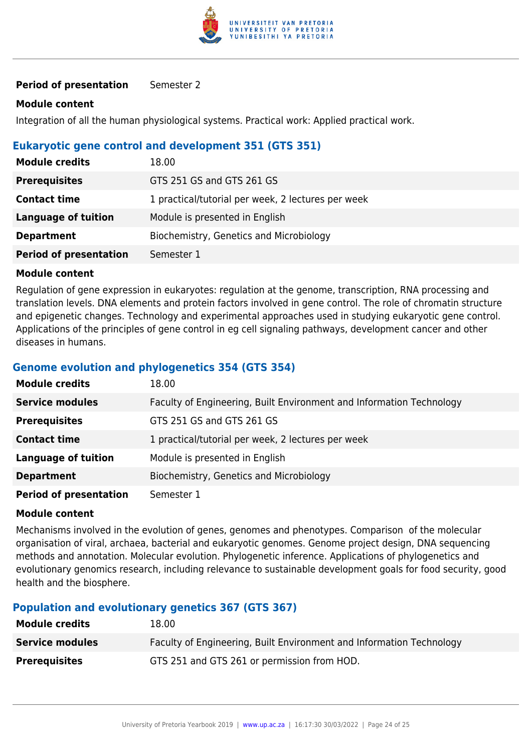

#### **Period of presentation** Semester 2

#### **Module content**

Integration of all the human physiological systems. Practical work: Applied practical work.

#### **Eukaryotic gene control and development 351 (GTS 351)**

| <b>Module credits</b>         | 18.00                                              |
|-------------------------------|----------------------------------------------------|
| <b>Prerequisites</b>          | GTS 251 GS and GTS 261 GS                          |
| <b>Contact time</b>           | 1 practical/tutorial per week, 2 lectures per week |
| Language of tuition           | Module is presented in English                     |
| <b>Department</b>             | Biochemistry, Genetics and Microbiology            |
| <b>Period of presentation</b> | Semester 1                                         |

#### **Module content**

Regulation of gene expression in eukaryotes: regulation at the genome, transcription, RNA processing and translation levels. DNA elements and protein factors involved in gene control. The role of chromatin structure and epigenetic changes. Technology and experimental approaches used in studying eukaryotic gene control. Applications of the principles of gene control in eg cell signaling pathways, development cancer and other diseases in humans.

#### **Genome evolution and phylogenetics 354 (GTS 354)**

| <b>Module credits</b>         | 18.00                                                                |
|-------------------------------|----------------------------------------------------------------------|
| <b>Service modules</b>        | Faculty of Engineering, Built Environment and Information Technology |
| <b>Prerequisites</b>          | GTS 251 GS and GTS 261 GS                                            |
| <b>Contact time</b>           | 1 practical/tutorial per week, 2 lectures per week                   |
| <b>Language of tuition</b>    | Module is presented in English                                       |
| <b>Department</b>             | Biochemistry, Genetics and Microbiology                              |
| <b>Period of presentation</b> | Semester 1                                                           |

#### **Module content**

Mechanisms involved in the evolution of genes, genomes and phenotypes. Comparison of the molecular organisation of viral, archaea, bacterial and eukaryotic genomes. Genome project design, DNA sequencing methods and annotation. Molecular evolution. Phylogenetic inference. Applications of phylogenetics and evolutionary genomics research, including relevance to sustainable development goals for food security, good health and the biosphere.

#### **Population and evolutionary genetics 367 (GTS 367)**

| <b>Module credits</b>  | 18.00                                                                |
|------------------------|----------------------------------------------------------------------|
| <b>Service modules</b> | Faculty of Engineering, Built Environment and Information Technology |
| <b>Prerequisites</b>   | GTS 251 and GTS 261 or permission from HOD.                          |